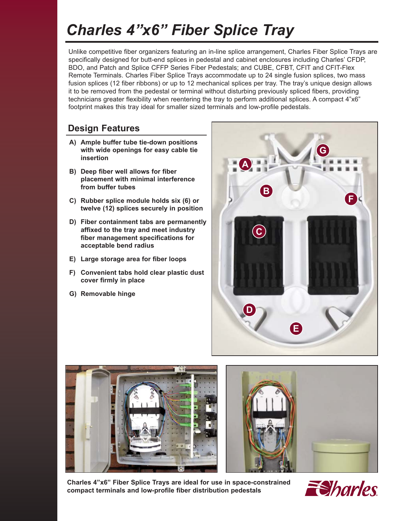# *Charles 4"x6" Fiber Splice Tray*

Unlike competitive fiber organizers featuring an in-line splice arrangement, Charles Fiber Splice Trays are specifically designed for butt-end splices in pedestal and cabinet enclosures including Charles' CFDP, BDO, and Patch and Splice CFFP Series Fiber Pedestals; and CUBE, CFBT, CFIT and CFIT-Flex Remote Terminals. Charles Fiber Splice Trays accommodate up to 24 single fusion splices, two mass fusion splices (12 fiber ribbons) or up to 12 mechanical splices per tray. The tray's unique design allows it to be removed from the pedestal or terminal without disturbing previously spliced fibers, providing technicians greater flexibility when reentering the tray to perform additional splices. A compact 4"x6" footprint makes this tray ideal for smaller sized terminals and low-profile pedestals.

### **Design Features**

- **A) Ample buffer tube tie-down positions with wide openings for easy cable tie insertion**
- **B) Deep fiber well allows for fiber placement with minimal interference from buffer tubes**
- **C) Rubber splice module holds six (6) or twelve (12) splices securely in position**
- **D) Fiber containment tabs are permanently affixed to the tray and meet industry fiber management specifications for acceptable bend radius**
- **E) Large storage area for fiber loops**
- **F) Convenient tabs hold clear plastic dust cover firmly in place**
- **G) Removable hinge**







**Charles 4"x6" Fiber Splice Trays are ideal for use in space-constrained compact terminals and low-profile fiber distribution pedestals**